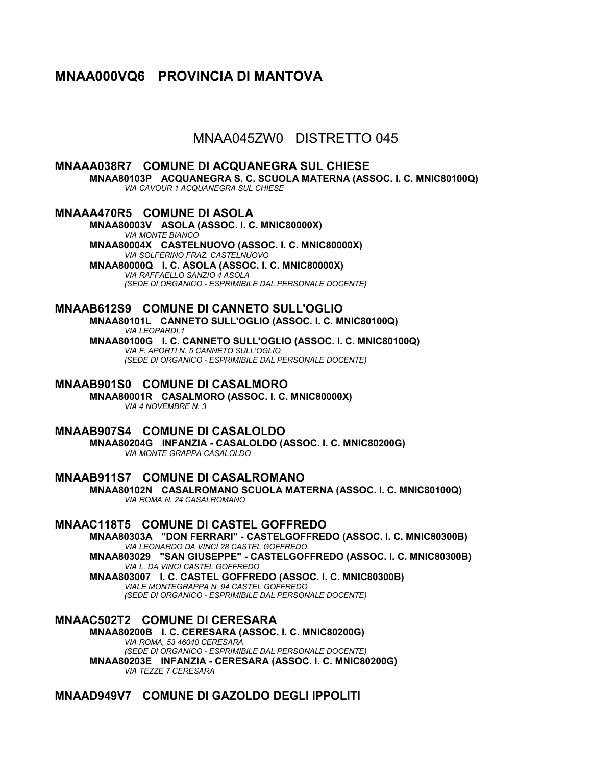# **MNAA000VQ6 PROVINCIA DI MANTOVA**

MNAA045ZW0 DISTRETTO 045

# **MNAAA038R7 COMUNE DI ACQUANEGRA SUL CHIESE**

**MNAA80103P ACQUANEGRA S. C. SCUOLA MATERNA (ASSOC. I. C. MNIC80100Q)** *VIA CAVOUR 1 ACQUANEGRA SUL CHIESE*

## **MNAAA470R5 COMUNE DI ASOLA**

**MNAA80003V ASOLA (ASSOC. I. C. MNIC80000X)** *VIA MONTE BIANCO* **MNAA80004X CASTELNUOVO (ASSOC. I. C. MNIC80000X)** *VIA SOLFERINO FRAZ. CASTELNUOVO* **MNAA80000Q I. C. ASOLA (ASSOC. I. C. MNIC80000X)** *VIA RAFFAELLO SANZIO 4 ASOLA (SEDE DI ORGANICO - ESPRIMIBILE DAL PERSONALE DOCENTE)*

#### **MNAAB612S9 COMUNE DI CANNETO SULL'OGLIO MNAA80101L CANNETO SULL'OGLIO (ASSOC. I. C. MNIC80100Q)**

*VIA LEOPARDI,1* **MNAA80100G I. C. CANNETO SULL'OGLIO (ASSOC. I. C. MNIC80100Q)** *VIA F. APORTI N. 5 CANNETO SULL'OGLIO (SEDE DI ORGANICO - ESPRIMIBILE DAL PERSONALE DOCENTE)*

# **MNAAB901S0 COMUNE DI CASALMORO**

**MNAA80001R CASALMORO (ASSOC. I. C. MNIC80000X)** *VIA 4 NOVEMBRE N. 3*

### **MNAAB907S4 COMUNE DI CASALOLDO**

**MNAA80204G INFANZIA - CASALOLDO (ASSOC. I. C. MNIC80200G)** *VIA MONTE GRAPPA CASALOLDO*

**MNAAB911S7 COMUNE DI CASALROMANO MNAA80102N CASALROMANO SCUOLA MATERNA (ASSOC. I. C. MNIC80100Q)** *VIA ROMA N. 24 CASALROMANO*

### **MNAAC118T5 COMUNE DI CASTEL GOFFREDO**

**MNAA80303A "DON FERRARI" - CASTELGOFFREDO (ASSOC. I. C. MNIC80300B)** *VIA LEONARDO DA VINCI 28 CASTEL GOFFREDO* **MNAA803029 "SAN GIUSEPPE" - CASTELGOFFREDO (ASSOC. I. C. MNIC80300B)** *VIA L. DA VINCI CASTEL GOFFREDO*

**MNAA803007 I. C. CASTEL GOFFREDO (ASSOC. I. C. MNIC80300B)** *VIALE MONTEGRAPPA N. 94 CASTEL GOFFREDO (SEDE DI ORGANICO - ESPRIMIBILE DAL PERSONALE DOCENTE)*

**MNAAC502T2 COMUNE DI CERESARA MNAA80200B I. C. CERESARA (ASSOC. I. C. MNIC80200G)** *VIA ROMA, 53 46040 CERESARA (SEDE DI ORGANICO - ESPRIMIBILE DAL PERSONALE DOCENTE)* **MNAA80203E INFANZIA - CERESARA (ASSOC. I. C. MNIC80200G)** *VIA TEZZE 7 CERESARA*

## **MNAAD949V7 COMUNE DI GAZOLDO DEGLI IPPOLITI**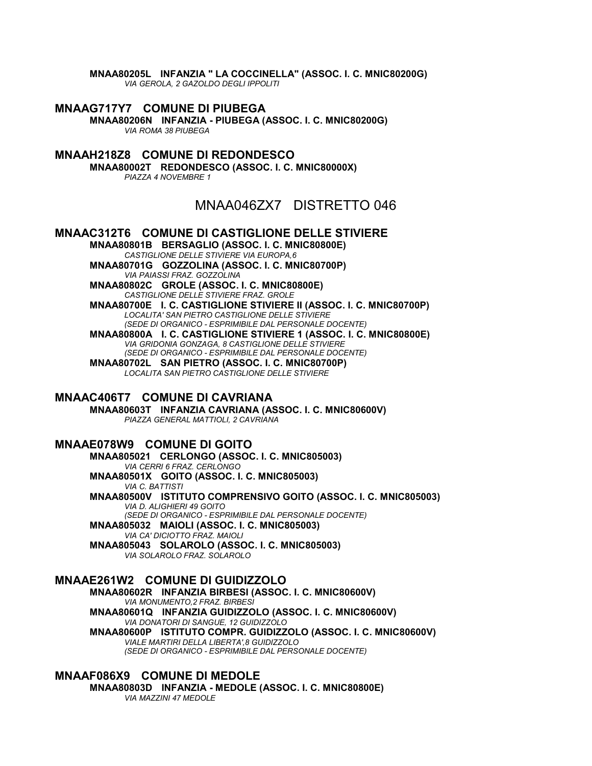**MNAA80205L INFANZIA " LA COCCINELLA" (ASSOC. I. C. MNIC80200G)** *VIA GEROLA, 2 GAZOLDO DEGLI IPPOLITI*

**MNAAG717Y7 COMUNE DI PIUBEGA MNAA80206N INFANZIA - PIUBEGA (ASSOC. I. C. MNIC80200G)** *VIA ROMA 38 PIUBEGA*

**MNAAH218Z8 COMUNE DI REDONDESCO MNAA80002T REDONDESCO (ASSOC. I. C. MNIC80000X)** *PIAZZA 4 NOVEMBRE 1*

# MNAA046ZX7 DISTRETTO 046

**MNAAC312T6 COMUNE DI CASTIGLIONE DELLE STIVIERE MNAA80801B BERSAGLIO (ASSOC. I. C. MNIC80800E)** *CASTIGLIONE DELLE STIVIERE VIA EUROPA,6* **MNAA80701G GOZZOLINA (ASSOC. I. C. MNIC80700P)** *VIA PAIASSI FRAZ. GOZZOLINA* **MNAA80802C GROLE (ASSOC. I. C. MNIC80800E)** *CASTIGLIONE DELLE STIVIERE FRAZ. GROLE* **MNAA80700E I. C. CASTIGLIONE STIVIERE II (ASSOC. I. C. MNIC80700P)** *LOCALITA' SAN PIETRO CASTIGLIONE DELLE STIVIERE (SEDE DI ORGANICO - ESPRIMIBILE DAL PERSONALE DOCENTE)* **MNAA80800A I. C. CASTIGLIONE STIVIERE 1 (ASSOC. I. C. MNIC80800E)** *VIA GRIDONIA GONZAGA, 8 CASTIGLIONE DELLE STIVIERE (SEDE DI ORGANICO - ESPRIMIBILE DAL PERSONALE DOCENTE)* **MNAA80702L SAN PIETRO (ASSOC. I. C. MNIC80700P)**

*LOCALITA SAN PIETRO CASTIGLIONE DELLE STIVIERE*

# **MNAAC406T7 COMUNE DI CAVRIANA**

**MNAA80603T INFANZIA CAVRIANA (ASSOC. I. C. MNIC80600V)** *PIAZZA GENERAL MATTIOLI, 2 CAVRIANA*

### **MNAAE078W9 COMUNE DI GOITO**

**MNAA805021 CERLONGO (ASSOC. I. C. MNIC805003)** *VIA CERRI 6 FRAZ. CERLONGO* **MNAA80501X GOITO (ASSOC. I. C. MNIC805003)** *VIA C. BATTISTI* **MNAA80500V ISTITUTO COMPRENSIVO GOITO (ASSOC. I. C. MNIC805003)** *VIA D. ALIGHIERI 49 GOITO (SEDE DI ORGANICO - ESPRIMIBILE DAL PERSONALE DOCENTE)* **MNAA805032 MAIOLI (ASSOC. I. C. MNIC805003)** *VIA CA' DICIOTTO FRAZ. MAIOLI*

**MNAA805043 SOLAROLO (ASSOC. I. C. MNIC805003)** *VIA SOLAROLO FRAZ. SOLAROLO*

# **MNAAE261W2 COMUNE DI GUIDIZZOLO**

**MNAA80602R INFANZIA BIRBESI (ASSOC. I. C. MNIC80600V)** *VIA MONUMENTO,2 FRAZ. BIRBESI* **MNAA80601Q INFANZIA GUIDIZZOLO (ASSOC. I. C. MNIC80600V)** *VIA DONATORI DI SANGUE, 12 GUIDIZZOLO* **MNAA80600P ISTITUTO COMPR. GUIDIZZOLO (ASSOC. I. C. MNIC80600V)** *VIALE MARTIRI DELLA LIBERTA',8 GUIDIZZOLO (SEDE DI ORGANICO - ESPRIMIBILE DAL PERSONALE DOCENTE)*

# **MNAAF086X9 COMUNE DI MEDOLE**

**MNAA80803D INFANZIA - MEDOLE (ASSOC. I. C. MNIC80800E)** *VIA MAZZINI 47 MEDOLE*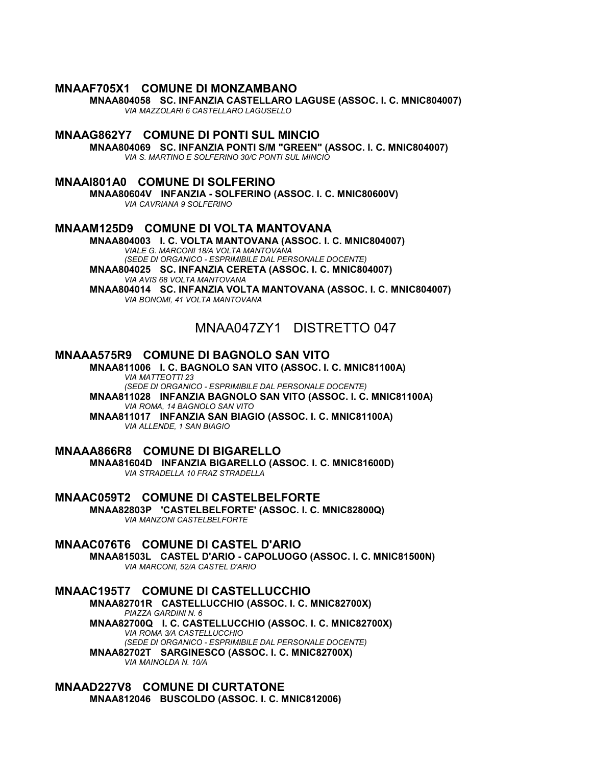#### **MNAAF705X1 COMUNE DI MONZAMBANO**

**MNAA804058 SC. INFANZIA CASTELLARO LAGUSE (ASSOC. I. C. MNIC804007)** *VIA MAZZOLARI 6 CASTELLARO LAGUSELLO*

**MNAAG862Y7 COMUNE DI PONTI SUL MINCIO MNAA804069 SC. INFANZIA PONTI S/M "GREEN" (ASSOC. I. C. MNIC804007)** *VIA S. MARTINO E SOLFERINO 30/C PONTI SUL MINCIO*

#### **MNAAI801A0 COMUNE DI SOLFERINO**

**MNAA80604V INFANZIA - SOLFERINO (ASSOC. I. C. MNIC80600V)** *VIA CAVRIANA 9 SOLFERINO*

### **MNAAM125D9 COMUNE DI VOLTA MANTOVANA**

**MNAA804003 I. C. VOLTA MANTOVANA (ASSOC. I. C. MNIC804007)** *VIALE G. MARCONI 18/A VOLTA MANTOVANA (SEDE DI ORGANICO - ESPRIMIBILE DAL PERSONALE DOCENTE)* **MNAA804025 SC. INFANZIA CERETA (ASSOC. I. C. MNIC804007)** *VIA AVIS 68 VOLTA MANTOVANA*

**MNAA804014 SC. INFANZIA VOLTA MANTOVANA (ASSOC. I. C. MNIC804007)** *VIA BONOMI, 41 VOLTA MANTOVANA*

# MNAA047ZY1 DISTRETTO 047

#### **MNAAA575R9 COMUNE DI BAGNOLO SAN VITO**

**MNAA811006 I. C. BAGNOLO SAN VITO (ASSOC. I. C. MNIC81100A)** *VIA MATTEOTTI 23 (SEDE DI ORGANICO - ESPRIMIBILE DAL PERSONALE DOCENTE)* **MNAA811028 INFANZIA BAGNOLO SAN VITO (ASSOC. I. C. MNIC81100A)** *VIA ROMA, 14 BAGNOLO SAN VITO* **MNAA811017 INFANZIA SAN BIAGIO (ASSOC. I. C. MNIC81100A)** *VIA ALLENDE, 1 SAN BIAGIO*

### **MNAAA866R8 COMUNE DI BIGARELLO**

**MNAA81604D INFANZIA BIGARELLO (ASSOC. I. C. MNIC81600D)** *VIA STRADELLA 10 FRAZ STRADELLA*

### **MNAAC059T2 COMUNE DI CASTELBELFORTE**

**MNAA82803P 'CASTELBELFORTE' (ASSOC. I. C. MNIC82800Q)** *VIA MANZONI CASTELBELFORTE*

### **MNAAC076T6 COMUNE DI CASTEL D'ARIO**

**MNAA81503L CASTEL D'ARIO - CAPOLUOGO (ASSOC. I. C. MNIC81500N)** *VIA MARCONI, 52/A CASTEL D'ARIO*

### **MNAAC195T7 COMUNE DI CASTELLUCCHIO**

**MNAA82701R CASTELLUCCHIO (ASSOC. I. C. MNIC82700X)** *PIAZZA GARDINI N. 6* **MNAA82700Q I. C. CASTELLUCCHIO (ASSOC. I. C. MNIC82700X)** *VIA ROMA 3/A CASTELLUCCHIO (SEDE DI ORGANICO - ESPRIMIBILE DAL PERSONALE DOCENTE)* **MNAA82702T SARGINESCO (ASSOC. I. C. MNIC82700X)** *VIA MAINOLDA N. 10/A*

#### **MNAAD227V8 COMUNE DI CURTATONE MNAA812046 BUSCOLDO (ASSOC. I. C. MNIC812006)**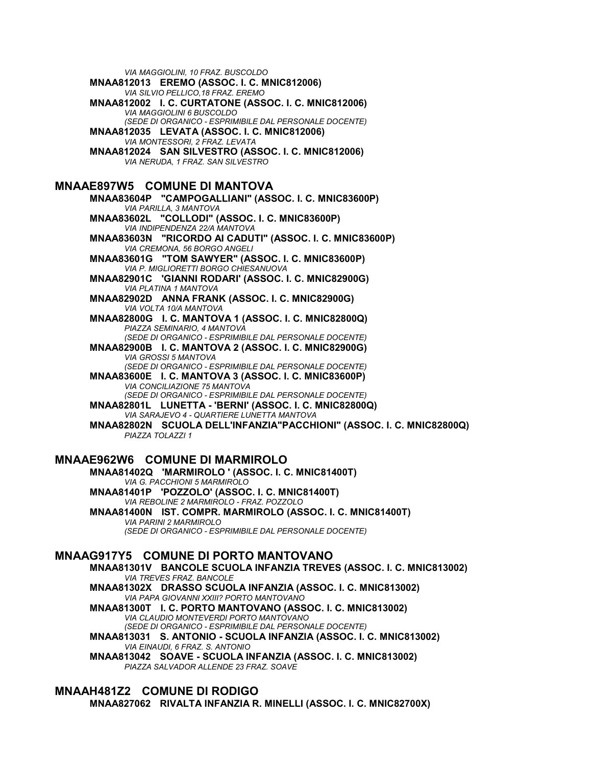*VIA MAGGIOLINI, 10 FRAZ. BUSCOLDO*

**MNAA812013 EREMO (ASSOC. I. C. MNIC812006)** *VIA SILVIO PELLICO,18 FRAZ. EREMO* **MNAA812002 I. C. CURTATONE (ASSOC. I. C. MNIC812006)** *VIA MAGGIOLINI 6 BUSCOLDO (SEDE DI ORGANICO - ESPRIMIBILE DAL PERSONALE DOCENTE)* **MNAA812035 LEVATA (ASSOC. I. C. MNIC812006)** *VIA MONTESSORI, 2 FRAZ. LEVATA* **MNAA812024 SAN SILVESTRO (ASSOC. I. C. MNIC812006)** *VIA NERUDA, 1 FRAZ. SAN SILVESTRO* **MNAAE897W5 COMUNE DI MANTOVA MNAA83604P "CAMPOGALLIANI" (ASSOC. I. C. MNIC83600P)** *VIA PARILLA, 3 MANTOVA* **MNAA83602L "COLLODI" (ASSOC. I. C. MNIC83600P)** *VIA INDIPENDENZA 22/A MANTOVA* **MNAA83603N "RICORDO AI CADUTI" (ASSOC. I. C. MNIC83600P)** *VIA CREMONA, 56 BORGO ANGELI* **MNAA83601G "TOM SAWYER" (ASSOC. I. C. MNIC83600P)** *VIA P. MIGLIORETTI BORGO CHIESANUOVA* **MNAA82901C 'GIANNI RODARI' (ASSOC. I. C. MNIC82900G)** *VIA PLATINA 1 MANTOVA* **MNAA82902D ANNA FRANK (ASSOC. I. C. MNIC82900G)** *VIA VOLTA 10/A MANTOVA* **MNAA82800G I. C. MANTOVA 1 (ASSOC. I. C. MNIC82800Q)** *PIAZZA SEMINARIO, 4 MANTOVA (SEDE DI ORGANICO - ESPRIMIBILE DAL PERSONALE DOCENTE)* **MNAA82900B I. C. MANTOVA 2 (ASSOC. I. C. MNIC82900G)** *VIA GROSSI 5 MANTOVA (SEDE DI ORGANICO - ESPRIMIBILE DAL PERSONALE DOCENTE)* **MNAA83600E I. C. MANTOVA 3 (ASSOC. I. C. MNIC83600P)** *VIA CONCILIAZIONE 75 MANTOVA (SEDE DI ORGANICO - ESPRIMIBILE DAL PERSONALE DOCENTE)*

**MNAA82801L LUNETTA - 'BERNI' (ASSOC. I. C. MNIC82800Q)** *VIA SARAJEVO 4 - QUARTIERE LUNETTA MANTOVA*

**MNAA82802N SCUOLA DELL'INFANZIA"PACCHIONI" (ASSOC. I. C. MNIC82800Q)** *PIAZZA TOLAZZI 1*

### **MNAAE962W6 COMUNE DI MARMIROLO**

**MNAA81402Q 'MARMIROLO ' (ASSOC. I. C. MNIC81400T)** *VIA G. PACCHIONI 5 MARMIROLO* **MNAA81401P 'POZZOLO' (ASSOC. I. C. MNIC81400T)** *VIA REBOLINE 2 MARMIROLO - FRAZ. POZZOLO* **MNAA81400N IST. COMPR. MARMIROLO (ASSOC. I. C. MNIC81400T)**

### *VIA PARINI 2 MARMIROLO (SEDE DI ORGANICO - ESPRIMIBILE DAL PERSONALE DOCENTE)*

### **MNAAG917Y5 COMUNE DI PORTO MANTOVANO**

**MNAA81301V BANCOLE SCUOLA INFANZIA TREVES (ASSOC. I. C. MNIC813002)** *VIA TREVES FRAZ. BANCOLE*

**MNAA81302X DRASSO SCUOLA INFANZIA (ASSOC. I. C. MNIC813002)** *VIA PAPA GIOVANNI XXIII? PORTO MANTOVANO*

**MNAA81300T I. C. PORTO MANTOVANO (ASSOC. I. C. MNIC813002)** *VIA CLAUDIO MONTEVERDI PORTO MANTOVANO (SEDE DI ORGANICO - ESPRIMIBILE DAL PERSONALE DOCENTE)*

**MNAA813031 S. ANTONIO - SCUOLA INFANZIA (ASSOC. I. C. MNIC813002)** *VIA EINAUDI, 6 FRAZ. S. ANTONIO*

**MNAA813042 SOAVE - SCUOLA INFANZIA (ASSOC. I. C. MNIC813002)** *PIAZZA SALVADOR ALLENDE 23 FRAZ. SOAVE*

### **MNAAH481Z2 COMUNE DI RODIGO MNAA827062 RIVALTA INFANZIA R. MINELLI (ASSOC. I. C. MNIC82700X)**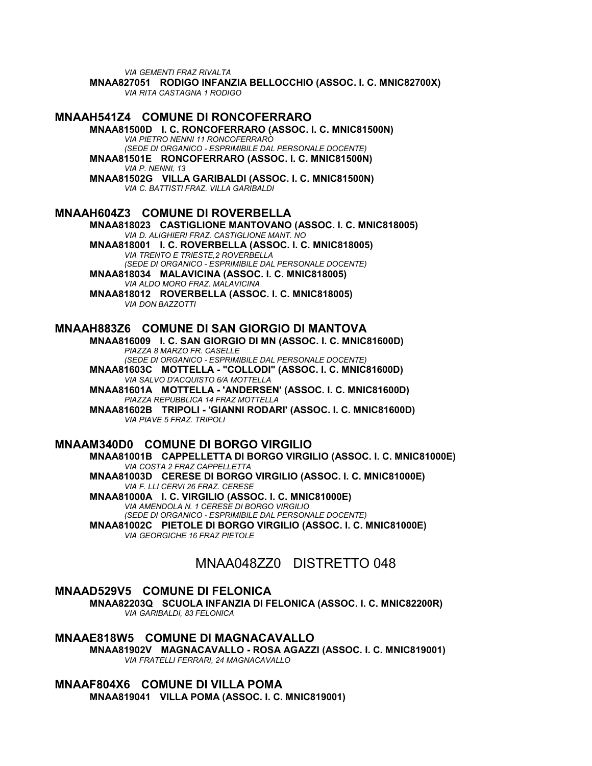*VIA GEMENTI FRAZ RIVALTA*

**MNAA827051 RODIGO INFANZIA BELLOCCHIO (ASSOC. I. C. MNIC82700X)** *VIA RITA CASTAGNA 1 RODIGO*

# **MNAAH541Z4 COMUNE DI RONCOFERRARO**

**MNAA81500D I. C. RONCOFERRARO (ASSOC. I. C. MNIC81500N)** *VIA PIETRO NENNI 11 RONCOFERRARO (SEDE DI ORGANICO - ESPRIMIBILE DAL PERSONALE DOCENTE)* **MNAA81501E RONCOFERRARO (ASSOC. I. C. MNIC81500N)** *VIA P. NENNI, 13*

**MNAA81502G VILLA GARIBALDI (ASSOC. I. C. MNIC81500N)** *VIA C. BATTISTI FRAZ. VILLA GARIBALDI*

## **MNAAH604Z3 COMUNE DI ROVERBELLA**

**MNAA818023 CASTIGLIONE MANTOVANO (ASSOC. I. C. MNIC818005)** *VIA D. ALIGHIERI FRAZ. CASTIGLIONE MANT. NO*

**MNAA818001 I. C. ROVERBELLA (ASSOC. I. C. MNIC818005)** *VIA TRENTO E TRIESTE,2 ROVERBELLA (SEDE DI ORGANICO - ESPRIMIBILE DAL PERSONALE DOCENTE)*

**MNAA818034 MALAVICINA (ASSOC. I. C. MNIC818005)** *VIA ALDO MORO FRAZ. MALAVICINA* **MNAA818012 ROVERBELLA (ASSOC. I. C. MNIC818005)**

*VIA DON BAZZOTTI*

### **MNAAH883Z6 COMUNE DI SAN GIORGIO DI MANTOVA**

**MNAA816009 I. C. SAN GIORGIO DI MN (ASSOC. I. C. MNIC81600D)** *PIAZZA 8 MARZO FR. CASELLE (SEDE DI ORGANICO - ESPRIMIBILE DAL PERSONALE DOCENTE)* **MNAA81603C MOTTELLA - "COLLODI" (ASSOC. I. C. MNIC81600D)**

*VIA SALVO D'ACQUISTO 6/A MOTTELLA* **MNAA81601A MOTTELLA - 'ANDERSEN' (ASSOC. I. C. MNIC81600D)** *PIAZZA REPUBBLICA 14 FRAZ MOTTELLA*

**MNAA81602B TRIPOLI - 'GIANNI RODARI' (ASSOC. I. C. MNIC81600D)** *VIA PIAVE 5 FRAZ. TRIPOLI*

#### **MNAAM340D0 COMUNE DI BORGO VIRGILIO**

**MNAA81001B CAPPELLETTA DI BORGO VIRGILIO (ASSOC. I. C. MNIC81000E)** *VIA COSTA 2 FRAZ CAPPELLETTA*

**MNAA81003D CERESE DI BORGO VIRGILIO (ASSOC. I. C. MNIC81000E)** *VIA F. LLI CERVI 26 FRAZ. CERESE* **MNAA81000A I. C. VIRGILIO (ASSOC. I. C. MNIC81000E)**

*VIA AMENDOLA N. 1 CERESE DI BORGO VIRGILIO (SEDE DI ORGANICO - ESPRIMIBILE DAL PERSONALE DOCENTE)*

**MNAA81002C PIETOLE DI BORGO VIRGILIO (ASSOC. I. C. MNIC81000E)** *VIA GEORGICHE 16 FRAZ PIETOLE*

# MNAA048ZZ0 DISTRETTO 048

### **MNAAD529V5 COMUNE DI FELONICA**

**MNAA82203Q SCUOLA INFANZIA DI FELONICA (ASSOC. I. C. MNIC82200R)** *VIA GARIBALDI, 83 FELONICA*

**MNAAE818W5 COMUNE DI MAGNACAVALLO MNAA81902V MAGNACAVALLO - ROSA AGAZZI (ASSOC. I. C. MNIC819001)** *VIA FRATELLI FERRARI, 24 MAGNACAVALLO*

**MNAAF804X6 COMUNE DI VILLA POMA MNAA819041 VILLA POMA (ASSOC. I. C. MNIC819001)**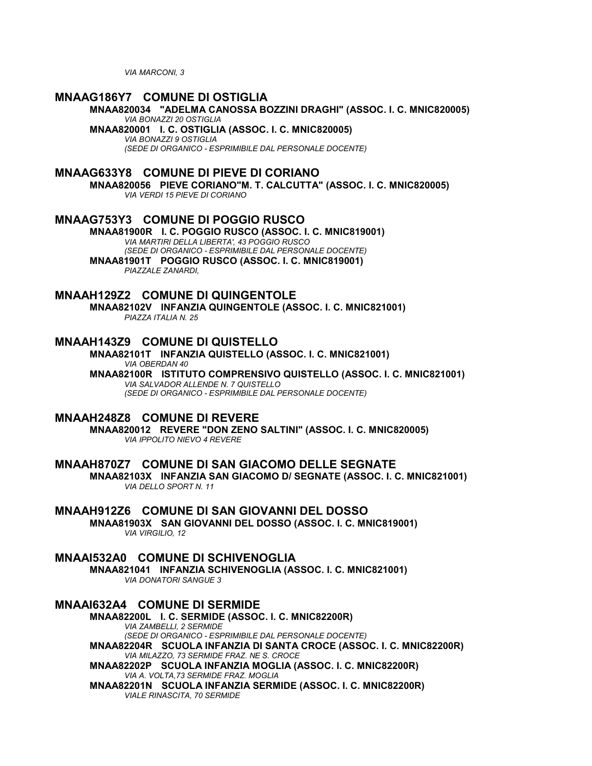*VIA MARCONI, 3*

## **MNAAG186Y7 COMUNE DI OSTIGLIA**

**MNAA820034 "ADELMA CANOSSA BOZZINI DRAGHI" (ASSOC. I. C. MNIC820005)** *VIA BONAZZI 20 OSTIGLIA*

**MNAA820001 I. C. OSTIGLIA (ASSOC. I. C. MNIC820005)**

*VIA BONAZZI 9 OSTIGLIA*

*(SEDE DI ORGANICO - ESPRIMIBILE DAL PERSONALE DOCENTE)*

## **MNAAG633Y8 COMUNE DI PIEVE DI CORIANO**

**MNAA820056 PIEVE CORIANO"M. T. CALCUTTA" (ASSOC. I. C. MNIC820005)** *VIA VERDI 15 PIEVE DI CORIANO*

**MNAAG753Y3 COMUNE DI POGGIO RUSCO**

**MNAA81900R I. C. POGGIO RUSCO (ASSOC. I. C. MNIC819001)** *VIA MARTIRI DELLA LIBERTA', 43 POGGIO RUSCO (SEDE DI ORGANICO - ESPRIMIBILE DAL PERSONALE DOCENTE)* **MNAA81901T POGGIO RUSCO (ASSOC. I. C. MNIC819001)** *PIAZZALE ZANARDI,*

## **MNAAH129Z2 COMUNE DI QUINGENTOLE**

**MNAA82102V INFANZIA QUINGENTOLE (ASSOC. I. C. MNIC821001)** *PIAZZA ITALIA N. 25*

### **MNAAH143Z9 COMUNE DI QUISTELLO**

**MNAA82101T INFANZIA QUISTELLO (ASSOC. I. C. MNIC821001)** *VIA OBERDAN 40*

**MNAA82100R ISTITUTO COMPRENSIVO QUISTELLO (ASSOC. I. C. MNIC821001)** *VIA SALVADOR ALLENDE N. 7 QUISTELLO (SEDE DI ORGANICO - ESPRIMIBILE DAL PERSONALE DOCENTE)*

## **MNAAH248Z8 COMUNE DI REVERE**

**MNAA820012 REVERE "DON ZENO SALTINI" (ASSOC. I. C. MNIC820005)** *VIA IPPOLITO NIEVO 4 REVERE*

### **MNAAH870Z7 COMUNE DI SAN GIACOMO DELLE SEGNATE**

**MNAA82103X INFANZIA SAN GIACOMO D/ SEGNATE (ASSOC. I. C. MNIC821001)** *VIA DELLO SPORT N. 11*

**MNAAH912Z6 COMUNE DI SAN GIOVANNI DEL DOSSO MNAA81903X SAN GIOVANNI DEL DOSSO (ASSOC. I. C. MNIC819001)** *VIA VIRGILIO, 12*

## **MNAAI532A0 COMUNE DI SCHIVENOGLIA**

**MNAA821041 INFANZIA SCHIVENOGLIA (ASSOC. I. C. MNIC821001)** *VIA DONATORI SANGUE 3*

**MNAAI632A4 COMUNE DI SERMIDE**

**MNAA82200L I. C. SERMIDE (ASSOC. I. C. MNIC82200R)** *VIA ZAMBELLI, 2 SERMIDE (SEDE DI ORGANICO - ESPRIMIBILE DAL PERSONALE DOCENTE)* **MNAA82204R SCUOLA INFANZIA DI SANTA CROCE (ASSOC. I. C. MNIC82200R)** *VIA MILAZZO, 73 SERMIDE FRAZ. NE S. CROCE* **MNAA82202P SCUOLA INFANZIA MOGLIA (ASSOC. I. C. MNIC82200R)**

*VIA A. VOLTA,73 SERMIDE FRAZ. MOGLIA* **MNAA82201N SCUOLA INFANZIA SERMIDE (ASSOC. I. C. MNIC82200R)** *VIALE RINASCITA, 70 SERMIDE*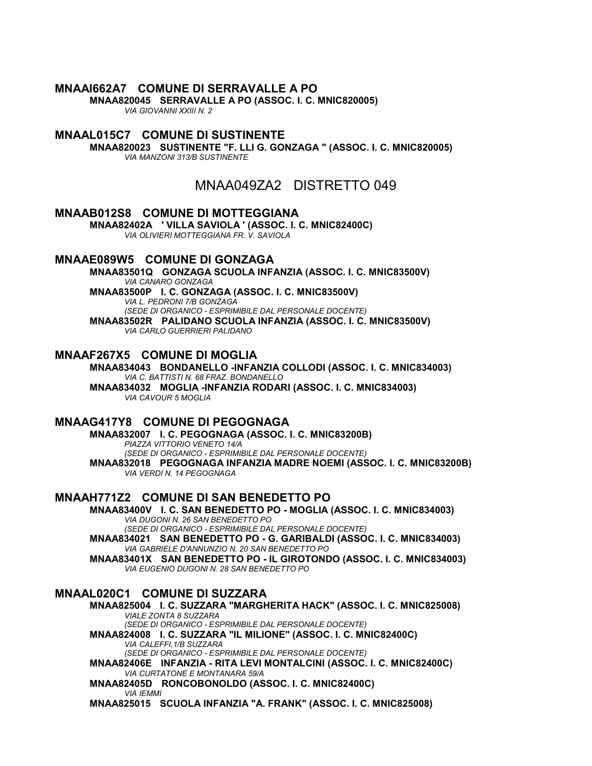# **MNAAI662A7 COMUNE DI SERRAVALLE A PO**

**MNAA820045 SERRAVALLE A PO (ASSOC. I. C. MNIC820005)**

*VIA GIOVANNI XXIII N. 2*

# **MNAAL015C7 COMUNE DI SUSTINENTE**

**MNAA820023 SUSTINENTE "F. LLI G. GONZAGA " (ASSOC. I. C. MNIC820005)** *VIA MANZONI 313/B SUSTINENTE*

MNAA049ZA2 DISTRETTO 049

### **MNAAB012S8 COMUNE DI MOTTEGGIANA**

**MNAA82402A ' VILLA SAVIOLA ' (ASSOC. I. C. MNIC82400C)** *VIA OLIVIERI MOTTEGGIANA FR. V. SAVIOLA*

## **MNAAE089W5 COMUNE DI GONZAGA**

**MNAA83501Q GONZAGA SCUOLA INFANZIA (ASSOC. I. C. MNIC83500V)** *VIA CANARO GONZAGA* **MNAA83500P I. C. GONZAGA (ASSOC. I. C. MNIC83500V)** *VIA L. PEDRONI 7/B GONZAGA (SEDE DI ORGANICO - ESPRIMIBILE DAL PERSONALE DOCENTE)* **MNAA83502R PALIDANO SCUOLA INFANZIA (ASSOC. I. C. MNIC83500V)** *VIA CARLO GUERRIERI PALIDANO*

### **MNAAF267X5 COMUNE DI MOGLIA**

**MNAA834043 BONDANELLO -INFANZIA COLLODI (ASSOC. I. C. MNIC834003)** *VIA C. BATTISTI N. 68 FRAZ. BONDANELLO* **MNAA834032 MOGLIA -INFANZIA RODARI (ASSOC. I. C. MNIC834003)** *VIA CAVOUR 5 MOGLIA*

#### **MNAAG417Y8 COMUNE DI PEGOGNAGA**

**MNAA832007 I. C. PEGOGNAGA (ASSOC. I. C. MNIC83200B)** *PIAZZA VITTORIO VENETO 14/A (SEDE DI ORGANICO - ESPRIMIBILE DAL PERSONALE DOCENTE)* **MNAA832018 PEGOGNAGA INFANZIA MADRE NOEMI (ASSOC. I. C. MNIC83200B)** *VIA VERDI N. 14 PEGOGNAGA*

# **MNAAH771Z2 COMUNE DI SAN BENEDETTO PO**

**MNAA83400V I. C. SAN BENEDETTO PO - MOGLIA (ASSOC. I. C. MNIC834003)** *VIA DUGONI N. 26 SAN BENEDETTO PO (SEDE DI ORGANICO - ESPRIMIBILE DAL PERSONALE DOCENTE)* **MNAA834021 SAN BENEDETTO PO - G. GARIBALDI (ASSOC. I. C. MNIC834003)** *VIA GABRIELE D'ANNUNZIO N. 20 SAN BENEDETTO PO*

**MNAA83401X SAN BENEDETTO PO - IL GIROTONDO (ASSOC. I. C. MNIC834003)** *VIA EUGENIO DUGONI N. 28 SAN BENEDETTO PO*

### **MNAAL020C1 COMUNE DI SUZZARA**

**MNAA825004 I. C. SUZZARA "MARGHERITA HACK" (ASSOC. I. C. MNIC825008)** *VIALE ZONTA 8 SUZZARA (SEDE DI ORGANICO - ESPRIMIBILE DAL PERSONALE DOCENTE)* **MNAA824008 I. C. SUZZARA "IL MILIONE" (ASSOC. I. C. MNIC82400C)** *VIA CALEFFI,1/B SUZZARA (SEDE DI ORGANICO - ESPRIMIBILE DAL PERSONALE DOCENTE)* **MNAA82406E INFANZIA - RITA LEVI MONTALCINI (ASSOC. I. C. MNIC82400C)** *VIA CURTATONE E MONTANARA 59/A* **MNAA82405D RONCOBONOLDO (ASSOC. I. C. MNIC82400C)** *VIA IEMMI* **MNAA825015 SCUOLA INFANZIA "A. FRANK" (ASSOC. I. C. MNIC825008)**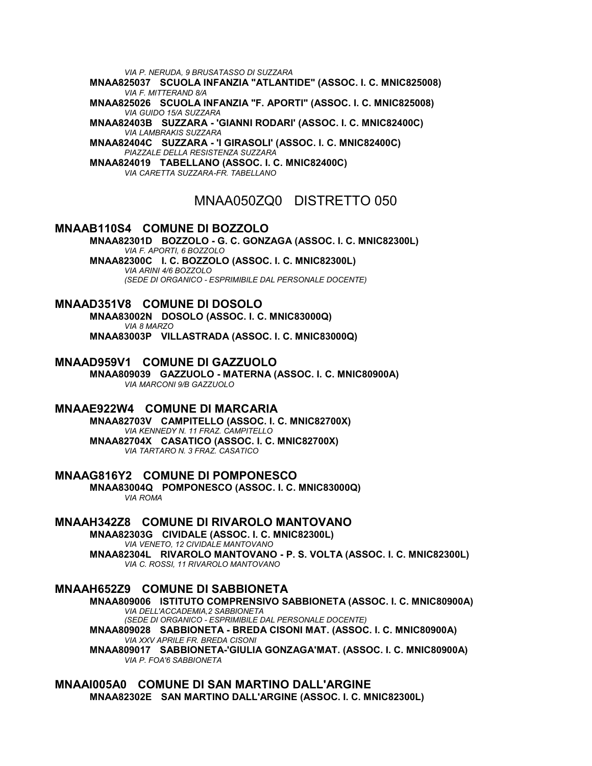*VIA P. NERUDA, 9 BRUSATASSO DI SUZZARA*

**MNAA825037 SCUOLA INFANZIA "ATLANTIDE" (ASSOC. I. C. MNIC825008)** *VIA F. MITTERAND 8/A*

**MNAA825026 SCUOLA INFANZIA "F. APORTI" (ASSOC. I. C. MNIC825008)** *VIA GUIDO 15/A SUZZARA*

**MNAA82403B SUZZARA - 'GIANNI RODARI' (ASSOC. I. C. MNIC82400C)** *VIA LAMBRAKIS SUZZARA*

**MNAA82404C SUZZARA - 'I GIRASOLI' (ASSOC. I. C. MNIC82400C)** *PIAZZALE DELLA RESISTENZA SUZZARA*

**MNAA824019 TABELLANO (ASSOC. I. C. MNIC82400C)** *VIA CARETTA SUZZARA-FR. TABELLANO*

# MNAA050ZQ0 DISTRETTO 050

# **MNAAB110S4 COMUNE DI BOZZOLO**

**MNAA82301D BOZZOLO - G. C. GONZAGA (ASSOC. I. C. MNIC82300L)** *VIA F. APORTI, 6 BOZZOLO* **MNAA82300C I. C. BOZZOLO (ASSOC. I. C. MNIC82300L)** *VIA ARINI 4/6 BOZZOLO (SEDE DI ORGANICO - ESPRIMIBILE DAL PERSONALE DOCENTE)*

**MNAAD351V8 COMUNE DI DOSOLO MNAA83002N DOSOLO (ASSOC. I. C. MNIC83000Q)** *VIA 8 MARZO* **MNAA83003P VILLASTRADA (ASSOC. I. C. MNIC83000Q)**

## **MNAAD959V1 COMUNE DI GAZZUOLO**

**MNAA809039 GAZZUOLO - MATERNA (ASSOC. I. C. MNIC80900A)** *VIA MARCONI 9/B GAZZUOLO*

# **MNAAE922W4 COMUNE DI MARCARIA**

**MNAA82703V CAMPITELLO (ASSOC. I. C. MNIC82700X)** *VIA KENNEDY N. 11 FRAZ. CAMPITELLO* **MNAA82704X CASATICO (ASSOC. I. C. MNIC82700X)** *VIA TARTARO N. 3 FRAZ. CASATICO*

**MNAAG816Y2 COMUNE DI POMPONESCO MNAA83004Q POMPONESCO (ASSOC. I. C. MNIC83000Q)** *VIA ROMA*

# **MNAAH342Z8 COMUNE DI RIVAROLO MANTOVANO**

**MNAA82303G CIVIDALE (ASSOC. I. C. MNIC82300L)** *VIA VENETO, 12 CIVIDALE MANTOVANO* **MNAA82304L RIVAROLO MANTOVANO - P. S. VOLTA (ASSOC. I. C. MNIC82300L)** *VIA C. ROSSI, 11 RIVAROLO MANTOVANO*

## **MNAAH652Z9 COMUNE DI SABBIONETA**

**MNAA809006 ISTITUTO COMPRENSIVO SABBIONETA (ASSOC. I. C. MNIC80900A)** *VIA DELL'ACCADEMIA,2 SABBIONETA (SEDE DI ORGANICO - ESPRIMIBILE DAL PERSONALE DOCENTE)* **MNAA809028 SABBIONETA - BREDA CISONI MAT. (ASSOC. I. C. MNIC80900A)** *VIA XXV APRILE FR. BREDA CISONI*

**MNAA809017 SABBIONETA-'GIULIA GONZAGA'MAT. (ASSOC. I. C. MNIC80900A)** *VIA P. FOA'6 SABBIONETA*

**MNAAI005A0 COMUNE DI SAN MARTINO DALL'ARGINE MNAA82302E SAN MARTINO DALL'ARGINE (ASSOC. I. C. MNIC82300L)**